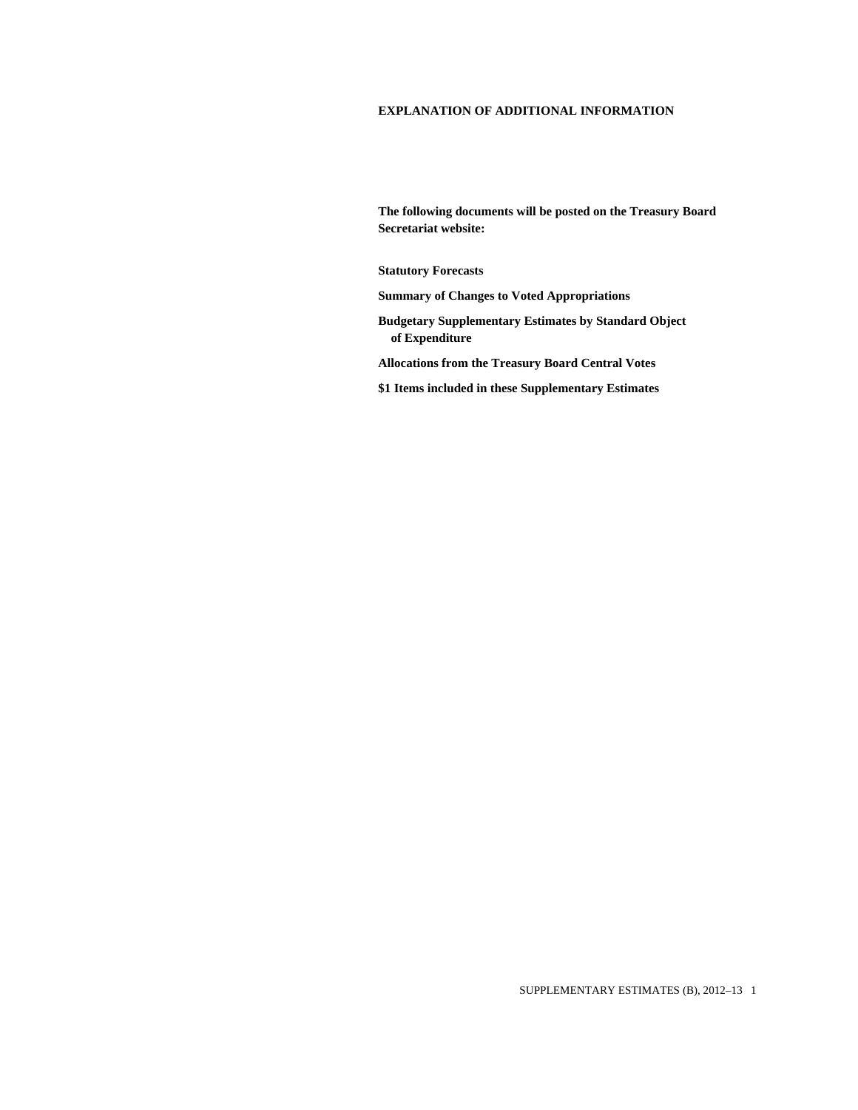# **EXPLANATION OF ADDITIONAL INFORMATION**

**The following documents will be posted on the Treasury Board Secretariat website:** 

**Statutory Forecasts** 

**Summary of Changes to Voted Appropriations** 

**Budgetary Supplementary Estimates by Standard Object of Expenditure** 

**Allocations from the Treasury Board Central Votes** 

**\$1 Items included in these Supplementary Estimates**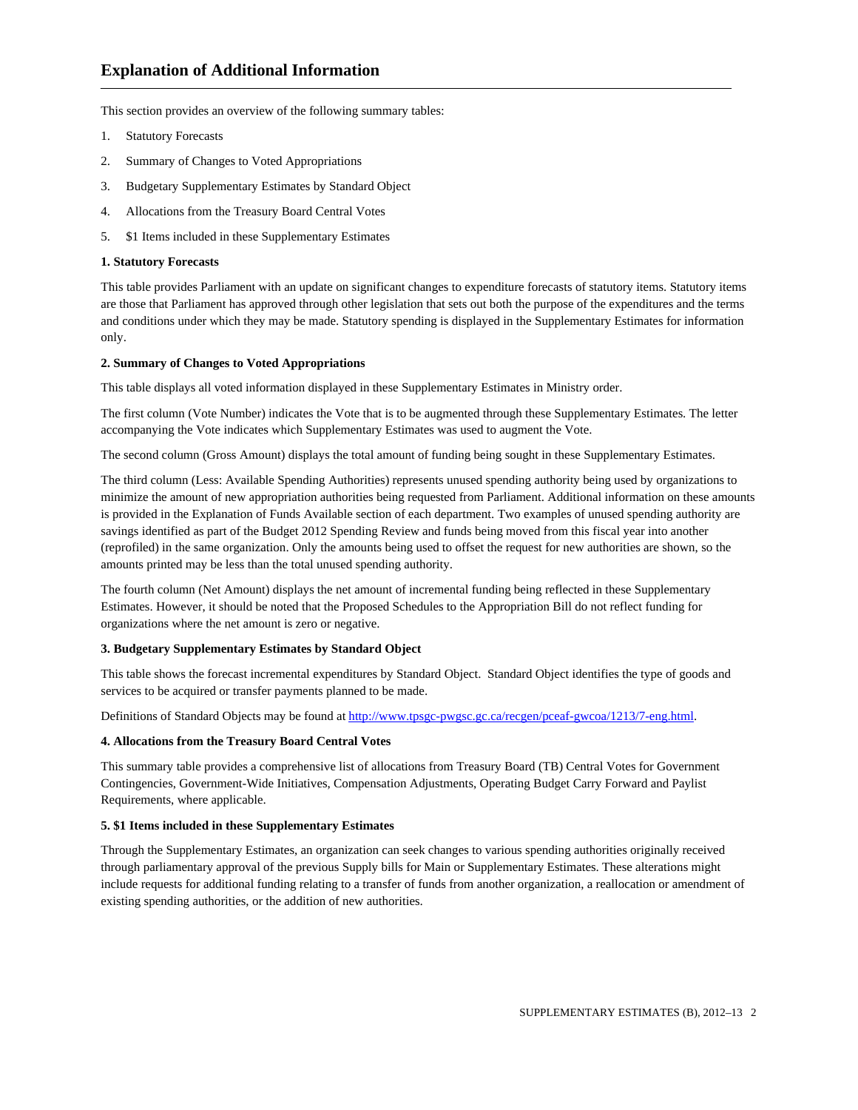This section provides an overview of the following summary tables:

- 1. Statutory Forecasts
- 2. Summary of Changes to Voted Appropriations
- 3. Budgetary Supplementary Estimates by Standard Object
- 4. Allocations from the Treasury Board Central Votes
- 5. \$1 Items included in these Supplementary Estimates

## **1. Statutory Forecasts**

This table provides Parliament with an update on significant changes to expenditure forecasts of statutory items. Statutory items are those that Parliament has approved through other legislation that sets out both the purpose of the expenditures and the terms and conditions under which they may be made. Statutory spending is displayed in the Supplementary Estimates for information only.

## **2. Summary of Changes to Voted Appropriations**

This table displays all voted information displayed in these Supplementary Estimates in Ministry order.

The first column (Vote Number) indicates the Vote that is to be augmented through these Supplementary Estimates. The letter accompanying the Vote indicates which Supplementary Estimates was used to augment the Vote.

The second column (Gross Amount) displays the total amount of funding being sought in these Supplementary Estimates.

The third column (Less: Available Spending Authorities) represents unused spending authority being used by organizations to minimize the amount of new appropriation authorities being requested from Parliament. Additional information on these amounts is provided in the Explanation of Funds Available section of each department. Two examples of unused spending authority are savings identified as part of the Budget 2012 Spending Review and funds being moved from this fiscal year into another (reprofiled) in the same organization. Only the amounts being used to offset the request for new authorities are shown, so the amounts printed may be less than the total unused spending authority.

The fourth column (Net Amount) displays the net amount of incremental funding being reflected in these Supplementary Estimates. However, it should be noted that the Proposed Schedules to the Appropriation Bill do not reflect funding for organizations where the net amount is zero or negative.

#### **3. Budgetary Supplementary Estimates by Standard Object**

This table shows the forecast incremental expenditures by Standard Object. Standard Object identifies the type of goods and services to be acquired or transfer payments planned to be made.

Definitions of Standard Objects may be found at http://www.tpsgc-pwgsc.gc.ca/recgen/pceaf-gwcoa/1213/7-eng.html.

## **4. Allocations from the Treasury Board Central Votes**

This summary table provides a comprehensive list of allocations from Treasury Board (TB) Central Votes for Government Contingencies, Government-Wide Initiatives, Compensation Adjustments, Operating Budget Carry Forward and Paylist Requirements, where applicable.

## **5. \$1 Items included in these Supplementary Estimates**

Through the Supplementary Estimates, an organization can seek changes to various spending authorities originally received through parliamentary approval of the previous Supply bills for Main or Supplementary Estimates. These alterations might include requests for additional funding relating to a transfer of funds from another organization, a reallocation or amendment of existing spending authorities, or the addition of new authorities.